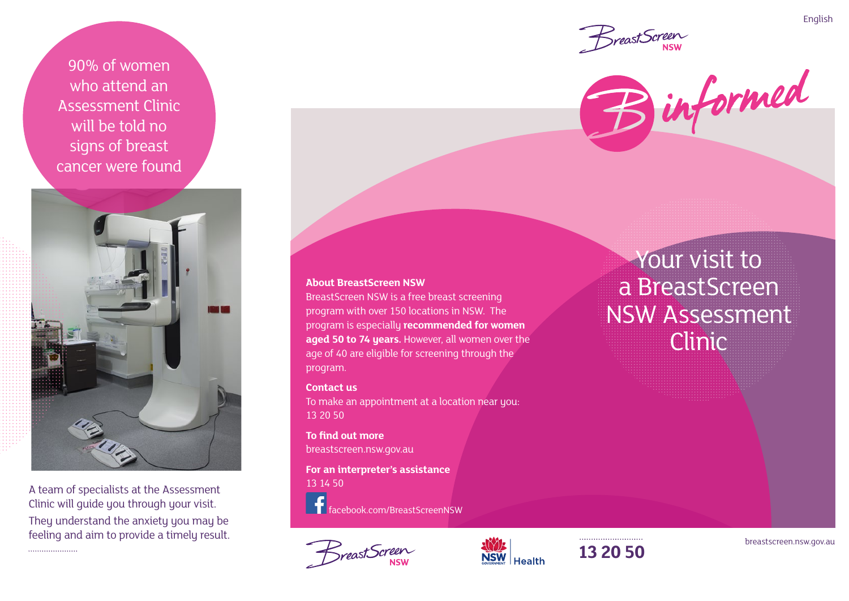90% of women who attend an Assessment Clinic will be told no signs of breast cancer were found



A team of specialists at the Assessment Clinic will guide you through your visit. They understand the anxiety you may be

feeling and aim to provide a timely result.

#### **About BreastScreen NSW**

BreastScreen NSW is a free breast screening program with over 150 locations in NSW. The program is especially **recommended for women aged 50 to 74 years.** However, all women over the age of 40 are eligible for screening through the program.

#### **Contact us**

To make an appointment at a location near you: 13 20 50

#### **To find out more** breastscreen.nsw.gov.au

**For an interpreter's assistance** 13 14 50

facebook.com/BreastScreenNSW







Your visit to a BreastScreen NSW Assessment Clinic





English